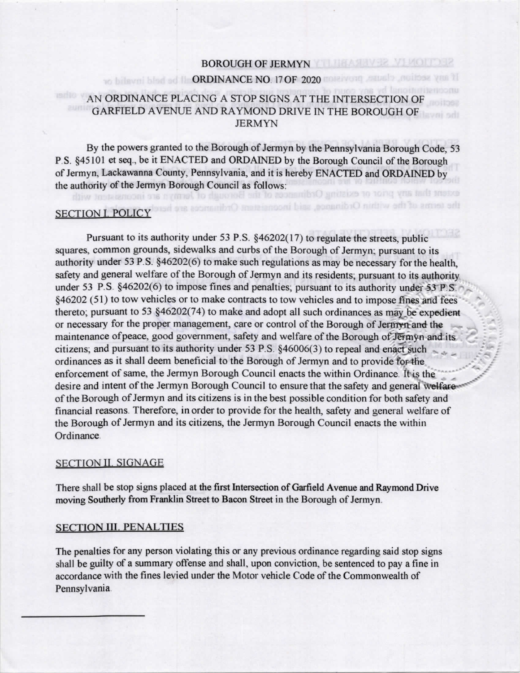## **BOROUGH OF JERMYN**

# to bilavni blad ad II. ORDINANCE NO. 17 OF 2020 molecompounds and base you it

## AN ORDINANCE PLACING A STOP SIGNS AT THE INTERSECTION OF GARFIELD AVENUE AND RAYMOND DRIVE IN THE BOROUGH OF **JERMYN**

By the powers granted to the Borough of Jermyn by the Pennsylvania Borough Code, 53 P.S. §45101 et seq., be it ENACTED and ORDAINED by the Borough Council of the Borough of Jermyn, Lackawanna County, Pennsylvania, and it is hereby ENACTED and ORDAINED by the authority of the Jermyn Borough Council as follows: extent that any prior or existing Ord

the terms of the within Ordinance, said inconocerer

## **SECTION I. POLICY**

diw Instagnooni on nymmel to d

Pursuant to its authority under 53 P.S. §46202(17) to regulate the streets, public squares, common grounds, sidewalks and curbs of the Borough of Jermyn; pursuant to its authority under 53 P.S. §46202(6) to make such regulations as may be necessary for the health, safety and general welfare of the Borough of Jermyn and its residents; pursuant to its authority under 53 P.S. §46202(6) to impose fines and penalties; pursuant to its authority under 53 P.S. §46202 (51) to tow vehicles or to make contracts to tow vehicles and to impose fines and fees thereto; pursuant to 53 §46202(74) to make and adopt all such ordinances as may be expedient or necessary for the proper management, care or control of the Borough of Jermyn and the maintenance of peace, good government, safety and welfare of the Borough of Jermyn and its citizens; and pursuant to its authority under 53 P.S. §46006(3) to repeal and enact such ordinances as it shall deem beneficial to the Borough of Jermyn and to provide for the enforcement of same, the Jermyn Borough Council enacts the within Ordinance. It is the desire and intent of the Jermyn Borough Council to ensure that the safety and general welfareof the Borough of Jermyn and its citizens is in the best possible condition for both safety and financial reasons. Therefore, in order to provide for the health, safety and general welfare of the Borough of Jermyn and its citizens, the Jermyn Borough Council enacts the within Ordinance.

### **SECTION II. SIGNAGE**

There shall be stop signs placed at the first Intersection of Garfield Avenue and Raymond Drive moving Southerly from Franklin Street to Bacon Street in the Borough of Jermyn.

#### **SECTION III. PENALTIES**

The penalties for any person violating this or any previous ordinance regarding said stop signs shall be guilty of a summary offense and shall, upon conviction, be sentenced to pay a fine in accordance with the fines levied under the Motor vehicle Code of the Commonwealth of Pennsylvania.